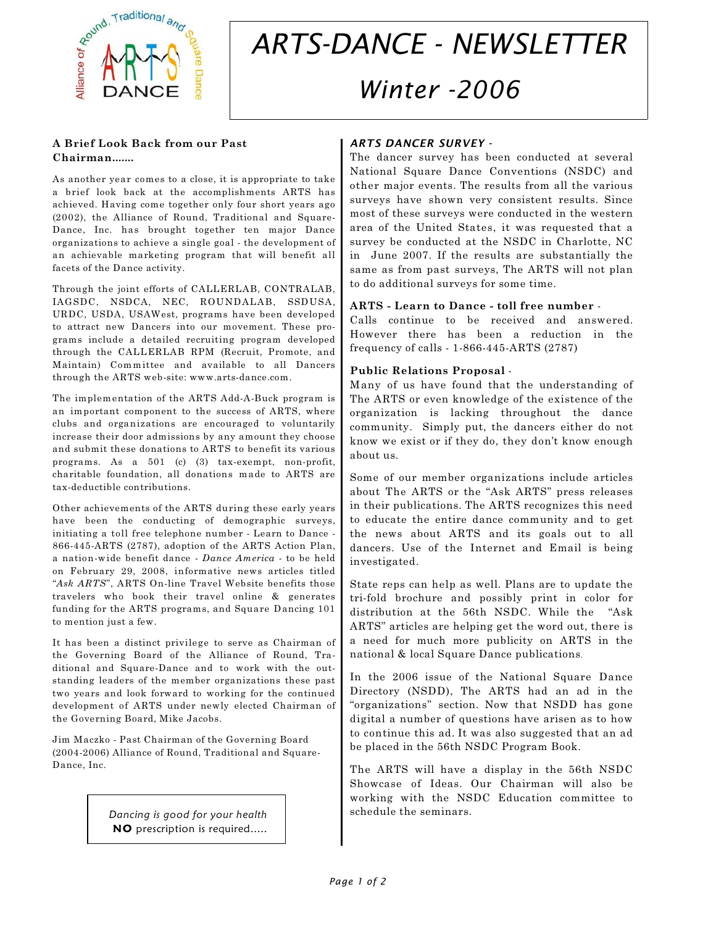

# *ARTS-DANCE - NEWSLETTER Winter -2006*

#### **A Brief Look Back from our Past Chairman.......**

As another year comes to a close, it is appropriate to take a brief look back at the accomplishments ARTS has achieved. Having come together only four short years ago (2002), the Alliance of Round, Traditional and Square-Dance, Inc. has brought together ten major Dance organizations to achieve a single goal - the development of an achievable marketing program that will benefit all facets of the Dance activity.

Through the joint efforts of CALLERLAB, CONTRALAB, IAGSDC, NSDCA, NEC, ROUNDALAB, SSDUSA, URDC, USDA, USAWest, programs have been developed to attract new Dancers into our movement. These programs include a detailed recruiting program developed through the CALLERLAB RPM (Recruit, Promote, and Maintain) Committee and available to all Dancers through the ARTS web-site: www.arts-dance.com.

The implementation of the ARTS Add-A-Buck program is an important component to the success of ARTS, where clubs and organizations are encouraged to voluntarily increase their door admissions by any amount they choose and submit these donations to ARTS to benefit its various programs. As a 501 (c) (3) tax-exempt, non-profit, charitable foundation, all donations made to ARTS are tax-deductible contributions.

Other achievements of the ARTS during these early years have been the conducting of demographic surveys, initiating a toll free telephone number - Learn to Dance - 866-445-ARTS (2787), adoption of the ARTS Action Plan, a nation-wide benefit dance - *Dance America* - to be held on February 29, 2008, informative news articles titled "*Ask ARTS*", ARTS On-line Travel Website benefits those travelers who book their travel online & generates funding for the ARTS programs, and Square Dancing 101 to mention just a few.

It has been a distinct privilege to serve as Chairman of the Governing Board of the Alliance of Round, Traditional and Square-Dance and to work with the outstanding leaders of the member organizations these past two years and look forward to working for the continued development of ARTS under newly elected Chairman of the Governing Board, Mike Jacobs.

Jim Maczko - Past Chairman of the Governing Board (2004-2006) Alliance of Round, Traditional and Square-Dance, Inc.

> *Dancing is good for your health* **NO** prescription is required.....

## *ARTS DANCER SURVEY -*

The dancer survey has been conducted at several National Square Dance Conventions (NSDC) and other major events. The results from all the various surveys have shown very consistent results. Since most of these surveys were conducted in the western area of the United States, it was requested that a survey be conducted at the NSDC in Charlotte, NC in June 2007. If the results are substantially the same as from past surveys, The ARTS will not plan to do additional surveys for some time.

#### **ARTS - Learn to Dance - toll free number** -

Calls continue to be received and answered. However there has been a reduction in the frequency of calls - 1-866-445-ARTS (2787)

#### **Public Relations Proposal** -

Many of us have found that the understanding of The ARTS or even knowledge of the existence of the organization is lacking throughout the dance community. Simply put, the dancers either do not know we exist or if they do, they don't know enough about us.

Some of our member organizations include articles about The ARTS or the "Ask ARTS" press releases in their publications. The ARTS recognizes this need to educate the entire dance community and to get the news about ARTS and its goals out to all dancers. Use of the Internet and Email is being investigated.

State reps can help as well. Plans are to update the tri-fold brochure and possibly print in color for distribution at the 56th NSDC. While the "Ask ARTS" articles are helping get the word out, there is a need for much more publicity on ARTS in the national & local Square Dance publications.

In the 2006 issue of the National Square Dance Directory (NSDD), The ARTS had an ad in the "organizations" section. Now that NSDD has gone digital a number of questions have arisen as to how to continue this ad. It was also suggested that an ad be placed in the 56th NSDC Program Book.

The ARTS will have a display in the 56th NSDC Showcase of Ideas. Our Chairman will also be working with the NSDC Education committee to schedule the seminars.